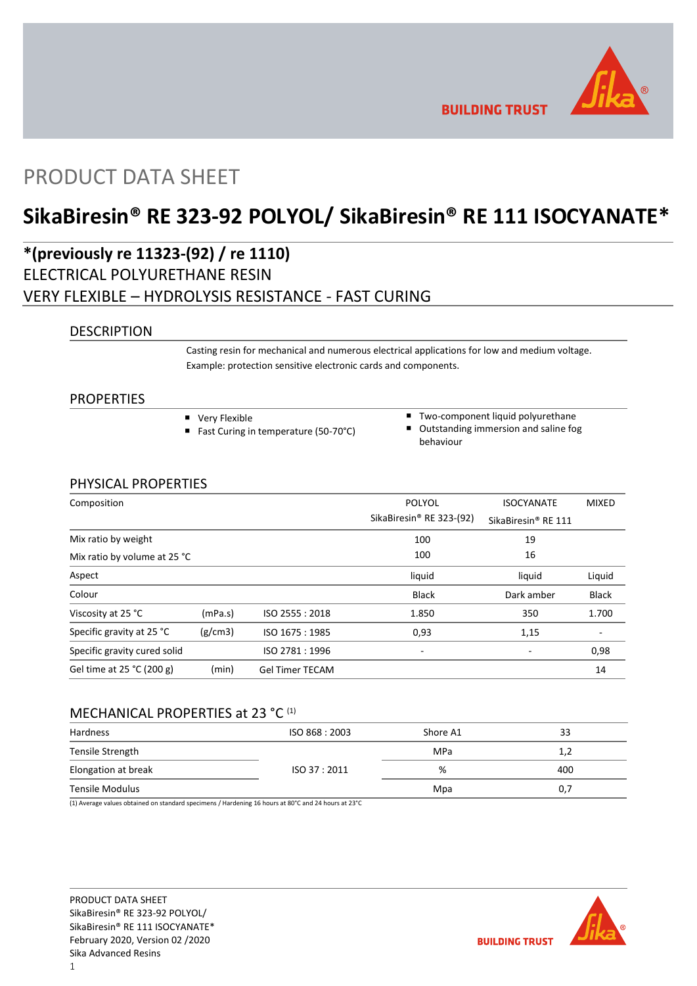

**BUILDING TRUST** 

## PRODUCT DATA SHEET

# **SikaBiresin® RE 323-92 POLYOL/ SikaBiresin® RE 111 ISOCYANATE\***

## **\*(previously re 11323-(92) / re 1110)** ELECTRICAL POLYURETHANE RESIN VERY FLEXIBLE – HYDROLYSIS RESISTANCE - FAST CURING

### **DESCRIPTION**

Casting resin for mechanical and numerous electrical applications for low and medium voltage. Example: protection sensitive electronic cards and components.

### PROPERTIES

- **very Flexible**
- Fast Curing in temperature (50-70°C)
- Two-component liquid polyurethane ■ Outstanding immersion and saline fog behaviour

### PHYSICAL PROPERTIES

| Composition                  |         |                        | POLYOL<br>SikaBiresin <sup>®</sup> RE 323-(92) | <b>ISOCYANATE</b>               | <b>MIXED</b> |
|------------------------------|---------|------------------------|------------------------------------------------|---------------------------------|--------------|
|                              |         |                        |                                                | SikaBiresin <sup>®</sup> RE 111 |              |
| Mix ratio by weight          |         |                        | 100                                            | 19                              |              |
| Mix ratio by volume at 25 °C |         |                        | 100                                            | 16                              |              |
| Aspect                       |         |                        | liquid                                         | liquid                          | Liquid       |
| Colour                       |         |                        | <b>Black</b>                                   | Dark amber                      | <b>Black</b> |
| Viscosity at 25 °C           | (mPa.s) | ISO 2555: 2018         | 1.850                                          | 350                             | 1.700        |
| Specific gravity at 25 °C    | (g/cm3) | ISO 1675: 1985         | 0,93                                           | 1,15                            |              |
| Specific gravity cured solid |         | ISO 2781: 1996         | -                                              | -                               | 0,98         |
| Gel time at 25 °C (200 g)    | (min)   | <b>Gel Timer TECAM</b> |                                                |                                 | 14           |

### MECHANICAL PROPERTIES at 23 °C (1)

| Hardness            | ISO 868: 2003 | Shore A1 | 33  |
|---------------------|---------------|----------|-----|
| Tensile Strength    |               | MPa      | 1,2 |
| Elongation at break | ISO 37 : 2011 | %        | 400 |
| Tensile Modulus     |               | Mpa      | 0,7 |

(1) Average values obtained on standard specimens / Hardening 16 hours at 80°C and 24 hours at 23°C

PRODUCT DATA SHEET SikaBiresin® RE 323-92 POLYOL/ SikaBiresin® RE 111 ISOCYANATE\* February 2020, Version 02 /2020 Sika Advanced Resins

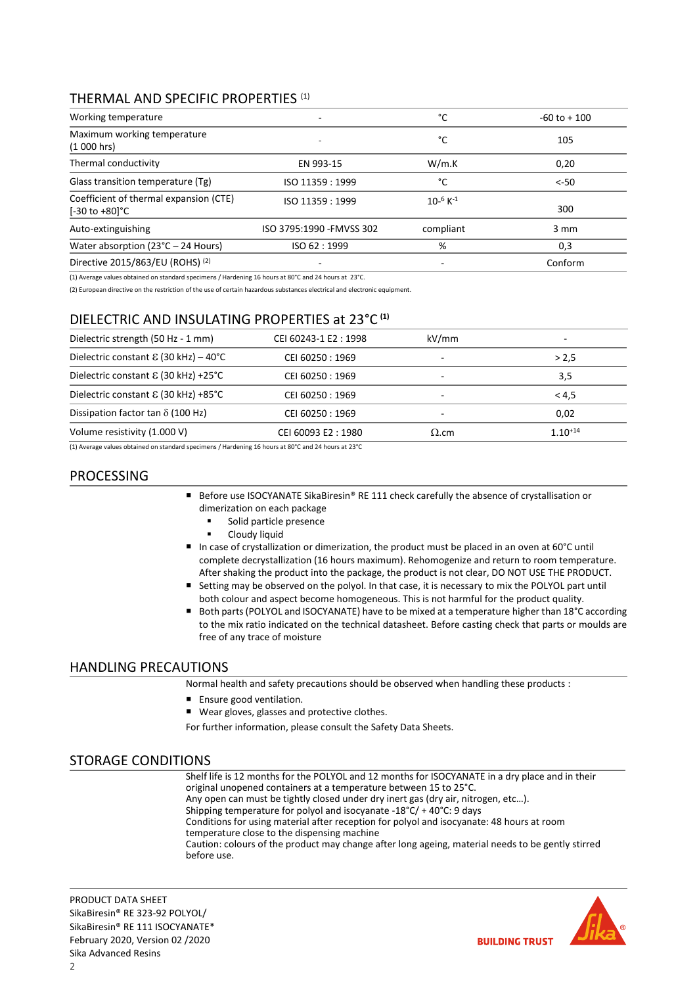### THERMAL AND SPECIFIC PROPERTIES (1)

| Working temperature                                      | $\overline{a}$            | °C               | $-60$ to $+100$  |
|----------------------------------------------------------|---------------------------|------------------|------------------|
| Maximum working temperature<br>(1000 hrs)                |                           | °C               | 105              |
| Thermal conductivity                                     | EN 993-15                 | W/m.K            | 0,20             |
| Glass transition temperature (Tg)                        | ISO 11359 : 1999          | °C               | $< -50$          |
| Coefficient of thermal expansion (CTE)<br>[-30 to +80]°C | ISO 11359: 1999           | $10^{-6} K^{-1}$ | 300              |
| Auto-extinguishing                                       | ISO 3795:1990 - FMVSS 302 | compliant        | $3 \, \text{mm}$ |
| Water absorption $(23^{\circ}C - 24$ Hours)              | ISO 62:1999               | %                | 0,3              |
| Directive 2015/863/EU (ROHS) (2)                         |                           | -                | Conform          |

(1) Average values obtained on standard specimens / Hardening 16 hours at 80°C and 24 hours at 23°C.

(2) European directive on the restriction of the use of certain hazardous substances electrical and electronic equipment.

### DIELECTRIC AND INSULATING PROPERTIES at 23°C **(1)**

| Dielectric strength (50 Hz - 1 mm)             | CEI 60243-1 E2: 1998 | kV/mm        | ۰            |
|------------------------------------------------|----------------------|--------------|--------------|
| Dielectric constant $\epsilon$ (30 kHz) – 40°C | CEI 60250 : 1969     | -            | > 2.5        |
| Dielectric constant $\epsilon$ (30 kHz) +25°C  | CEI 60250 : 1969     | -            | 3,5          |
| Dielectric constant $\epsilon$ (30 kHz) +85°C  | CEI 60250 : 1969     | -            | < 4.5        |
| Dissipation factor tan $\delta$ (100 Hz)       | CEI 60250 : 1969     | ۰            | 0,02         |
| Volume resistivity (1.000 V)                   | CEI 60093 E2:1980    | $\Omega$ .cm | $1.10^{+14}$ |

(1) Average values obtained on standard specimens / Hardening 16 hours at 80°C and 24 hours at 23°C

### PROCESSING

- Before use ISOCYANATE SikaBiresin® RE 111 check carefully the absence of crystallisation or dimerization on each package
	- Solid particle presence
	- Cloudy liquid
- In case of crystallization or dimerization, the product must be placed in an oven at 60°C until complete decrystallization (16 hours maximum). Rehomogenize and return to room temperature. After shaking the product into the package, the product is not clear, DO NOT USE THE PRODUCT.
- Setting may be observed on the polyol. In that case, it is necessary to mix the POLYOL part until both colour and aspect become homogeneous. This is not harmful for the product quality.
- Both parts (POLYOL and ISOCYANATE) have to be mixed at a temperature higher than 18°C according to the mix ratio indicated on the technical datasheet. Before casting check that parts or moulds are free of any trace of moisture

### HANDLING PRECAUTIONS

Normal health and safety precautions should be observed when handling these products :

- **Ensure good ventilation.**
- Wear gloves, glasses and protective clothes.

For further information, please consult the Safety Data Sheets.

### STORAGE CONDITIONS

Shelf life is 12 months for the POLYOL and 12 months for ISOCYANATE in a dry place and in their original unopened containers at a temperature between 15 to 25°C. Any open can must be tightly closed under dry inert gas (dry air, nitrogen, etc…). Shipping temperature for polyol and isocyanate -18°C/ + 40°C: 9 days Conditions for using material after reception for polyol and isocyanate: 48 hours at room temperature close to the dispensing machine Caution: colours of the product may change after long ageing, material needs to be gently stirred before use.

PRODUCT DATA SHEET SikaBiresin® RE 323-92 POLYOL/ SikaBiresin® RE 111 ISOCYANATE\* February 2020, Version 02 /2020 Sika Advanced Resins

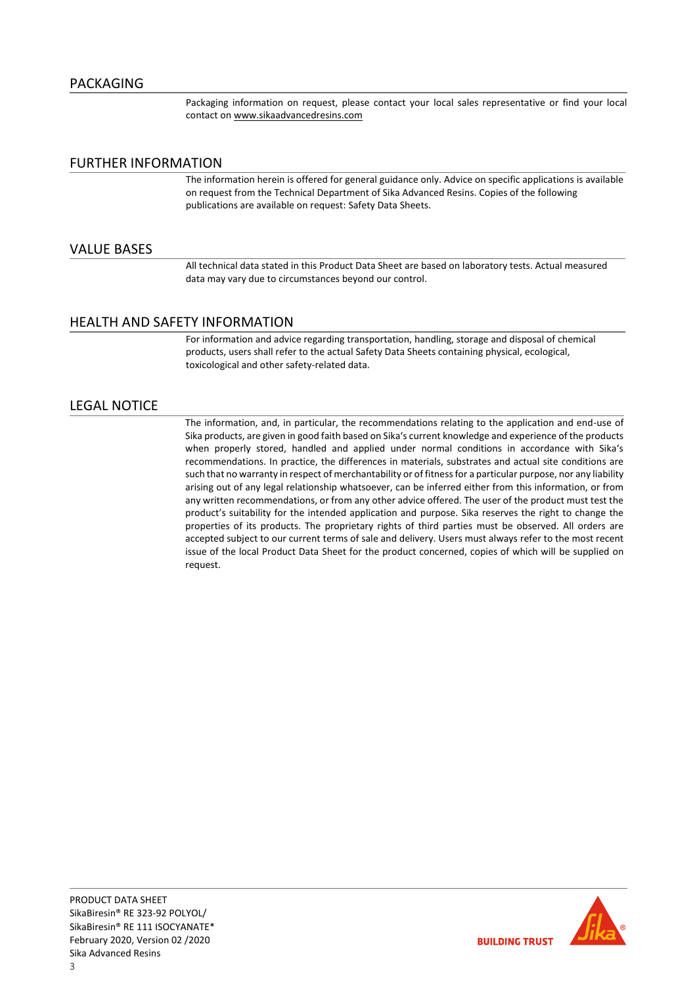Packaging information on request, please contact your local sales representative or find your local contact on [www.sikaadvancedresins.com](http://www.sikaadvancedresins.com/)

### FURTHER INFORMATION

The information herein is offered for general guidance only. Advice on specific applications is available on request from the Technical Department of Sika Advanced Resins. Copies of the following publications are available on request: Safety Data Sheets.

#### VALUE BASES

All technical data stated in this Product Data Sheet are based on laboratory tests. Actual measured data may vary due to circumstances beyond our control.

### HEALTH AND SAFETY INFORMATION

For information and advice regarding transportation, handling, storage and disposal of chemical products, users shall refer to the actual Safety Data Sheets containing physical, ecological, toxicological and other safety-related data.

### LEGAL NOTICE

The information, and, in particular, the recommendations relating to the application and end-use of Sika products, are given in good faith based on Sika's current knowledge and experience of the products when properly stored, handled and applied under normal conditions in accordance with Sika's recommendations. In practice, the differences in materials, substrates and actual site conditions are such that no warranty in respect of merchantability or of fitness for a particular purpose, nor any liability arising out of any legal relationship whatsoever, can be inferred either from this information, or from any written recommendations, or from any other advice offered. The user of the product must test the product's suitability for the intended application and purpose. Sika reserves the right to change the properties of its products. The proprietary rights of third parties must be observed. All orders are accepted subject to our current terms of sale and delivery. Users must always refer to the most recent issue of the local Product Data Sheet for the product concerned, copies of which will be supplied on request.